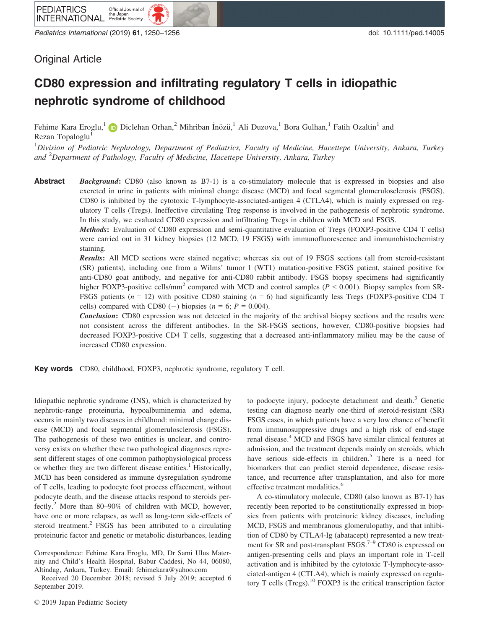Pediatrics International (2019) 61, 1250–1256 doi: 10.1111/ped.14005

# Original Article

# CD80 expression and infiltrating regulatory T cells in idiopathic nephrotic syndrome of childhood

Fehime Kara Eroglu,<sup>[1](https://orcid.org/0000-0003-2364-4282)</sup> D Diclehan Orhan,<sup>2</sup> Mihriban İnözü,<sup>1</sup> Ali Duzova,<sup>1</sup> Bora Gulhan,<sup>1</sup> Fatih Ozaltin<sup>1</sup> and Rezan Topaloglu<sup>1</sup>

<sup>1</sup>Division of Pediatric Nephrology, Department of Pediatrics, Faculty of Medicine, Hacettepe University, Ankara, Turkey and <sup>2</sup>Department of Pathology, Faculty of Medicine, Hacettepe University, Ankara, Turkey

Abstract Background: CD80 (also known as B7-1) is a co-stimulatory molecule that is expressed in biopsies and also excreted in urine in patients with minimal change disease (MCD) and focal segmental glomerulosclerosis (FSGS). CD80 is inhibited by the cytotoxic T-lymphocyte-associated-antigen 4 (CTLA4), which is mainly expressed on regulatory T cells (Tregs). Ineffective circulating Treg response is involved in the pathogenesis of nephrotic syndrome. In this study, we evaluated CD80 expression and infiltrating Tregs in children with MCD and FSGS.

> Methods: Evaluation of CD80 expression and semi-quantitative evaluation of Tregs (FOXP3-positive CD4 T cells) were carried out in 31 kidney biopsies (12 MCD, 19 FSGS) with immunofluorescence and immunohistochemistry staining.

> Results: All MCD sections were stained negative; whereas six out of 19 FSGS sections (all from steroid-resistant (SR) patients), including one from a Wilms' tumor 1 (WT1) mutation-positive FSGS patient, stained positive for anti-CD80 goat antibody, and negative for anti-CD80 rabbit antibody. FSGS biopsy specimens had significantly higher FOXP3-positive cells/mm<sup>2</sup> compared with MCD and control samples ( $P \le 0.001$ ). Biopsy samples from SR-FSGS patients ( $n = 12$ ) with positive CD80 staining ( $n = 6$ ) had significantly less Tregs (FOXP3-positive CD4 T cells) compared with CD80 (-) biopsies ( $n = 6$ ;  $P = 0.004$ ).

> **Conclusion:** CD80 expression was not detected in the majority of the archival biopsy sections and the results were not consistent across the different antibodies. In the SR-FSGS sections, however, CD80-positive biopsies had decreased FOXP3-positive CD4 T cells, suggesting that a decreased anti-inflammatory milieu may be the cause of increased CD80 expression.

Key words CD80, childhood, FOXP3, nephrotic syndrome, regulatory T cell.

Idiopathic nephrotic syndrome (INS), which is characterized by nephrotic-range proteinuria, hypoalbuminemia and edema, occurs in mainly two diseases in childhood: minimal change disease (MCD) and focal segmental glomerulosclerosis (FSGS). The pathogenesis of these two entities is unclear, and controversy exists on whether these two pathological diagnoses represent different stages of one common pathophysiological process or whether they are two different disease entities.<sup>1</sup> Historically, MCD has been considered as immune dysregulation syndrome of T cells, leading to podocyte foot process effacement, without podocyte death, and the disease attacks respond to steroids perfectly.<sup>2</sup> More than 80–90% of children with MCD, however, have one or more relapses, as well as long-term side-effects of steroid treatment.<sup>2</sup> FSGS has been attributed to a circulating proteinuric factor and genetic or metabolic disturbances, leading

Correspondence: Fehime Kara Eroglu, MD, Dr Sami Ulus Maternity and Child's Health Hospital, Babur Caddesi, No 44, 06080, Altindag, Ankara, Turkey. Email: [fehimekara@yahoo.com](mailto:)

Received 20 December 2018; revised 5 July 2019; accepted 6 September 2019.

to podocyte injury, podocyte detachment and death.<sup>3</sup> Genetic testing can diagnose nearly one-third of steroid-resistant (SR) FSGS cases, in which patients have a very low chance of benefit from immunosuppressive drugs and a high risk of end-stage renal disease.<sup>4</sup> MCD and FSGS have similar clinical features at admission, and the treatment depends mainly on steroids, which have serious side-effects in children.<sup>5</sup> There is a need for biomarkers that can predict steroid dependence, disease resistance, and recurrence after transplantation, and also for more effective treatment modalities.<sup>6</sup>

A co-stimulatory molecule, CD80 (also known as B7-1) has recently been reported to be constitutionally expressed in biopsies from patients with proteinuric kidney diseases, including MCD, FSGS and membranous glomerulopathy, and that inhibition of CD80 by CTLA4-Ig (abatacept) represented a new treatment for SR and post-transplant FSGS.<sup>7–9</sup> CD80 is expressed on antigen-presenting cells and plays an important role in T-cell activation and is inhibited by the cytotoxic T-lymphocyte-associated-antigen 4 (CTLA4), which is mainly expressed on regulatory T cells  $(Tregs)$ .<sup>10</sup> FOXP3 is the critical transcription factor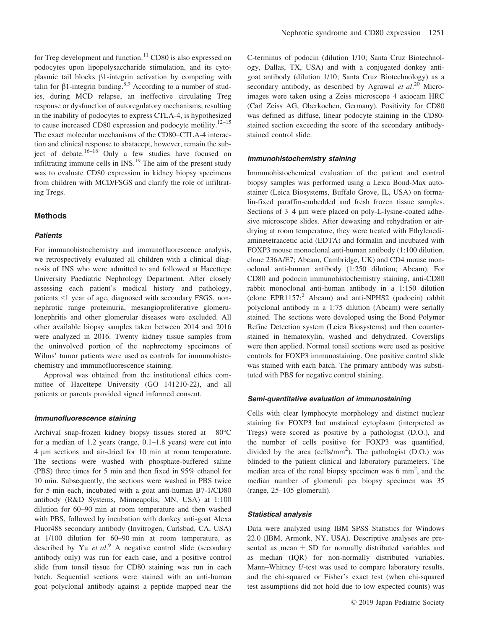for Treg development and function.<sup>11</sup> CD80 is also expressed on podocytes upon lipopolysaccharide stimulation, and its cytoplasmic tail blocks b1-integrin activation by competing with talin for  $\beta$ 1-integrin binding.<sup>8,9</sup> According to a number of studies, during MCD relapse, an ineffective circulating Treg response or dysfunction of autoregulatory mechanisms, resulting in the inability of podocytes to express CTLA-4, is hypothesized to cause increased CD80 expression and podocyte motility. $12-15$ The exact molecular mechanisms of the CD80–CTLA-4 interaction and clinical response to abatacept, however, remain the subject of debate.<sup>16–18</sup> Only a few studies have focused on infiltrating immune cells in  $\text{INS}$ <sup>19</sup> The aim of the present study was to evaluate CD80 expression in kidney biopsy specimens from children with MCD/FSGS and clarify the role of infiltrating Tregs.

#### Methods

#### **Patients**

For immunohistochemistry and immunofluorescence analysis, we retrospectively evaluated all children with a clinical diagnosis of INS who were admitted to and followed at Hacettepe University Paediatric Nephrology Department. After closely assessing each patient's medical history and pathology, patients <1 year of age, diagnosed with secondary FSGS, nonnephrotic range proteinuria, mesangioproliferative glomerulonephritis and other glomerular diseases were excluded. All other available biopsy samples taken between 2014 and 2016 were analyzed in 2016. Twenty kidney tissue samples from the uninvolved portion of the nephrectomy specimens of Wilms' tumor patients were used as controls for immunohistochemistry and immunofluorescence staining.

Approval was obtained from the institutional ethics committee of Hacettepe University (GO 141210-22), and all patients or parents provided signed informed consent.

#### Immunofluorescence staining

Archival snap-frozen kidney biopsy tissues stored at  $-80^{\circ}$ C for a median of 1.2 years (range, 0.1–1.8 years) were cut into 4 lm sections and air-dried for 10 min at room temperature. The sections were washed with phosphate-buffered saline (PBS) three times for 5 min and then fixed in 95% ethanol for 10 min. Subsequently, the sections were washed in PBS twice for 5 min each, incubated with a goat anti-human B7-1/CD80 antibody (R&D Systems, Minneapolis, MN, USA) at 1:100 dilution for 60–90 min at room temperature and then washed with PBS, followed by incubation with donkey anti-goat Alexa Fluor488 secondary antibody (Invitrogen, Carlsbad, CA, USA) at 1/100 dilution for 60–90 min at room temperature, as described by Yu et  $al$ <sup>9</sup> A negative control slide (secondary antibody only) was run for each case, and a positive control slide from tonsil tissue for CD80 staining was run in each batch. Sequential sections were stained with an anti-human goat polyclonal antibody against a peptide mapped near the

C-terminus of podocin (dilution 1/10; Santa Cruz Biotechnology, Dallas, TX, USA) and with a conjugated donkey antigoat antibody (dilution 1/10; Santa Cruz Biotechnology) as a secondary antibody, as described by Agrawal et  $al.^{20}$  Microimages were taken using a Zeiss microscope 4 axiocam HRC (Carl Zeiss AG, Oberkochen, Germany). Positivity for CD80 was defined as diffuse, linear podocyte staining in the CD80 stained section exceeding the score of the secondary antibodystained control slide.

#### Immunohistochemistry staining

Immunohistochemical evaluation of the patient and control biopsy samples was performed using a Leica Bond-Max autostainer (Leica Biosystems, Buffalo Grove, IL, USA) on formalin-fixed paraffin-embedded and fresh frozen tissue samples. Sections of 3–4  $\mu$ m were placed on poly-L-lysine-coated adhesive microscope slides. After dewaxing and rehydration or airdrying at room temperature, they were treated with Ethylenediaminetetraacetic acid (EDTA) and formalin and incubated with FOXP3 mouse monoclonal anti-human antibody (1:100 dilution, clone 236A/E7; Abcam, Cambridge, UK) and CD4 mouse monoclonal anti-human antibody (1:250 dilution; Abcam). For CD80 and podocin immunohistochemistry staining, anti-CD80 rabbit monoclonal anti-human antibody in a 1:150 dilution (clone [EPR1157](http://www.ncbi.nlm.nih.gov/nuccore/EPR1157); $2$  Abcam) and anti-NPHS2 (podocin) rabbit polyclonal antibody in a 1:75 dilution (Abcam) were serially stained. The sections were developed using the Bond Polymer Refine Detection system (Leica Biosystems) and then counterstained in hematoxylin, washed and dehydrated. Coverslips were then applied. Normal tonsil sections were used as positive controls for FOXP3 immunostaining. One positive control slide was stained with each batch. The primary antibody was substituted with PBS for negative control staining.

#### Semi-quantitative evaluation of immunostaining

Cells with clear lymphocyte morphology and distinct nuclear staining for FOXP3 but unstained cytoplasm (interpreted as Tregs) were scored as positive by a pathologist (D.O.), and the number of cells positive for FOXP3 was quantified, divided by the area (cells/ $mm<sup>2</sup>$ ). The pathologist (D.O.) was blinded to the patient clinical and laboratory parameters. The median area of the renal biopsy specimen was  $6 \text{ mm}^2$ , and the median number of glomeruli per biopsy specimen was 35 (range, 25–105 glomeruli).

#### Statistical analysis

Data were analyzed using IBM SPSS Statistics for Windows 22.0 (IBM, Armonk, NY, USA). Descriptive analyses are presented as mean  $\pm$  SD for normally distributed variables and as median (IQR) for non-normally distributed variables. Mann–Whitney U-test was used to compare laboratory results, and the chi-squared or Fisher's exact test (when chi-squared test assumptions did not hold due to low expected counts) was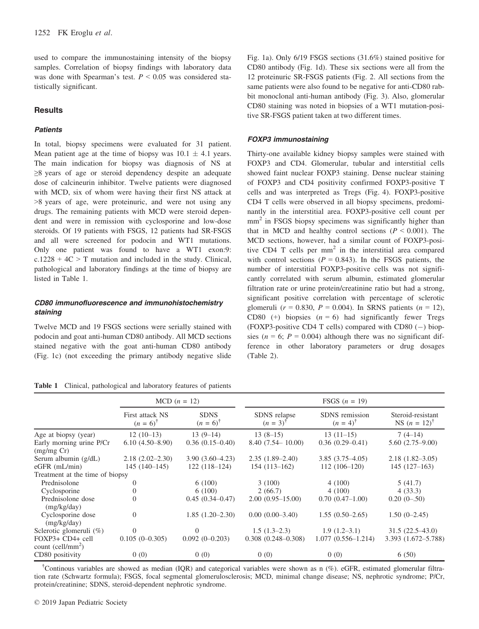used to compare the immunostaining intensity of the biopsy samples. Correlation of biopsy findings with laboratory data was done with Spearman's test.  $P \leq 0.05$  was considered statistically significant.

# **Results**

#### **Patients**

In total, biopsy specimens were evaluated for 31 patient. Mean patient age at the time of biopsy was  $10.1 \pm 4.1$  years. The main indication for biopsy was diagnosis of NS at ≥8 years of age or steroid dependency despite an adequate dose of calcineurin inhibitor. Twelve patients were diagnosed with MCD, six of whom were having their first NS attack at >8 years of age, were proteinuric, and were not using any drugs. The remaining patients with MCD were steroid dependent and were in remission with cyclosporine and low-dose steroids. Of 19 patients with FSGS, 12 patients had SR-FSGS and all were screened for podocin and WT1 mutations. Only one patient was found to have a WT1 exon:9:  $c.1228 + 4C > T$  mutation and included in the study. Clinical, pathological and laboratory findings at the time of biopsy are listed in Table 1.

# CD80 immunofluorescence and immunohistochemistry staining

Twelve MCD and 19 FSGS sections were serially stained with podocin and goat anti-human CD80 antibody. All MCD sections stained negative with the goat anti-human CD80 antibody (Fig. 1c) (not exceeding the primary antibody negative slide Fig. 1a). Only 6/19 FSGS sections (31.6%) stained positive for CD80 antibody (Fig. 1d). These six sections were all from the 12 proteinuric SR-FSGS patients (Fig. 2. All sections from the same patients were also found to be negative for anti-CD80 rabbit monoclonal anti-human antibody (Fig. 3). Also, glomerular CD80 staining was noted in biopsies of a WT1 mutation-positive SR-FSGS patient taken at two different times.

## FOXP3 immunostaining

Thirty-one available kidney biopsy samples were stained with FOXP3 and CD4. Glomerular, tubular and interstitial cells showed faint nuclear FOXP3 staining. Dense nuclear staining of FOXP3 and CD4 positivity confirmed FOXP3-positive T cells and was interpreted as Tregs (Fig. 4). FOXP3-positive CD4 T cells were observed in all biopsy specimens, predominantly in the interstitial area. FOXP3-positive cell count per mm<sup>2</sup> in FSGS biopsy specimens was significantly higher than that in MCD and healthy control sections  $(P < 0.001)$ . The MCD sections, however, had a similar count of FOXP3-positive CD4 T cells per  $mm<sup>2</sup>$  in the interstitial area compared with control sections ( $P = 0.843$ ). In the FSGS patients, the number of interstitial FOXP3-positive cells was not significantly correlated with serum albumin, estimated glomerular filtration rate or urine protein/creatinine ratio but had a strong, significant positive correlation with percentage of sclerotic glomeruli ( $r = 0.830$ ,  $P = 0.004$ ). In SRNS patients ( $n = 12$ ), CD80 (+) biopsies  $(n = 6)$  had significantly fewer Tregs (FOXP3-positive CD4 T cells) compared with CD80  $(-)$  biopsies ( $n = 6$ ;  $P = 0.004$ ) although there was no significant difference in other laboratory parameters or drug dosages (Table 2).

|                                                   |                                        | $MCD (n = 12)$                     |                                     | FSGS $(n = 19)$                       |                                              |
|---------------------------------------------------|----------------------------------------|------------------------------------|-------------------------------------|---------------------------------------|----------------------------------------------|
|                                                   | First attack NS<br>$(n = 6)^{\dagger}$ | <b>SDNS</b><br>$(n = 6)^{\dagger}$ | SDNS relapse<br>$(n = 3)^{\dagger}$ | SDNS remission<br>$(n = 4)^{\dagger}$ | Steroid-resistant<br>NS $(n = 12)^{\dagger}$ |
| Age at biopsy (year)                              | $12(10-13)$                            | $13(9-14)$                         | $13(8-15)$                          | $13(11-15)$                           | $7(4-14)$                                    |
| Early morning urine P/Cr                          | $6.10(4.50 - 8.90)$                    | $0.36(0.15-0.40)$                  | $8.40(7.54 - 10.00)$                | $0.36(0.29 - 0.41)$                   | $5.60(2.75-9.00)$                            |
| (mg/mg Cr)                                        |                                        |                                    |                                     |                                       |                                              |
| Serum albumin (g/dL)                              | $2.18(2.02 - 2.30)$                    | $3.90(3.60-4.23)$                  | $2.35(1.89-2.40)$                   | $3.85(3.75-4.05)$                     | $2.18(1.82 - 3.05)$                          |
| $eGFR$ (mL/min)                                   | $145(140-145)$                         | $122(118-124)$                     | $154(113-162)$                      | $112(106-120)$                        | $145(127-163)$                               |
| Treatment at the time of biopsy                   |                                        |                                    |                                     |                                       |                                              |
| Prednisolone                                      | $\Omega$                               | 6(100)                             | 3(100)                              | 4(100)                                | 5(41.7)                                      |
| Cyclosporine                                      | $\Omega$                               | 6(100)                             | 2(66.7)                             | 4(100)                                | 4(33.3)                                      |
| Prednisolone dose<br>(mg/kg/day)                  | $\overline{0}$                         | $0.45(0.34 - 0.47)$                | $2.00(0.95-15.00)$                  | $0.70(0.47-1.00)$                     | $0.20(0-.50)$                                |
| Cyclosporine dose<br>(mg/kg/day)                  | $\theta$                               | $1.85(1.20-2.30)$                  | $0.00(0.00-3.40)$                   | $1.55(0.50-2.65)$                     | $1.50(0-2.45)$                               |
| Sclerotic glomeruli $(\%)$                        | $\Omega$                               |                                    | $1.5(1.3-2.3)$                      | $1.9(1.2-3.1)$                        | $31.5(22.5-43.0)$                            |
| FOXP3+ CD4+ cell<br>count (cell/mm <sup>2</sup> ) | $0.105(0-0.305)$                       | $0.092(0-0.203)$                   | $0.308(0.248 - 0.308)$              | $1.077(0.556 - 1.214)$                | 3.393 (1.672-5.788)                          |
| CD80 positivity                                   | 0(0)                                   | 0(0)                               | 0(0)                                | 0(0)                                  | 6(50)                                        |

† Continous variables are showed as median (IQR) and categorical variables were shown as n (%). eGFR, estimated glomerular filtration rate (Schwartz formula); FSGS, focal segmental glomerulosclerosis; MCD, minimal change disease; NS, nephrotic syndrome; P/Cr, protein/creatinine; SDNS, steroid-dependent nephrotic syndrome.

Table 1 Clinical, pathological and laboratory features of patients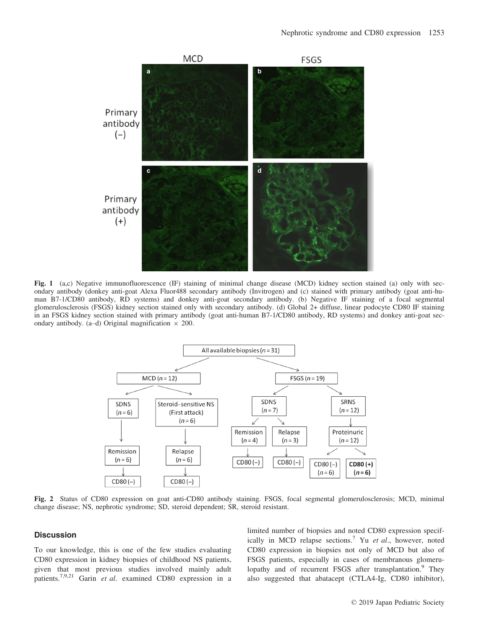

Fig. 1 (a,c) Negative immunofluorescence (IF) staining of minimal change disease (MCD) kidney section stained (a) only with sec-<br>ondary antibody (donkey anti-goat Alexa Fluor488 secondary antibody (Invitrogen) and (c) stai man B7-1/CD80 antibody, RD systems) and donkey anti-goat secondary antibody. (b) Negative IF staining of a focal segmental glomerulosclerosis (FSGS) kidney section stained only with secondary antibody. (d) Global 2+ diffuse, linear podocyte CD80 IF staining in an FSGS kidney section stained with primary antibody (goat anti-human B7-1/CD80 antibody, RD systems) and donkey anti-goat secondary antibody. (a–d) Original magnification  $\times$  200.



Fig. 2 Status of CD80 expression on goat anti-CD80 antibody staining. FSGS, focal segmental glomerulosclerosis; MCD, minimal change disease; NS, nephrotic syndrome; SD, steroid dependent; SR, steroid resistant.

# **Discussion**

To our knowledge, this is one of the few studies evaluating CD80 expression in kidney biopsies of childhood NS patients, given that most previous studies involved mainly adult patients.7,9,21 Garin et al. examined CD80 expression in a

limited number of biopsies and noted CD80 expression specifically in MCD relapse sections.<sup>7</sup> Yu et al., however, noted CD80 expression in biopsies not only of MCD but also of FSGS patients, especially in cases of membranous glomerulopathy and of recurrent FSGS after transplantation.<sup>9</sup> They also suggested that abatacept (CTLA4-Ig, CD80 inhibitor),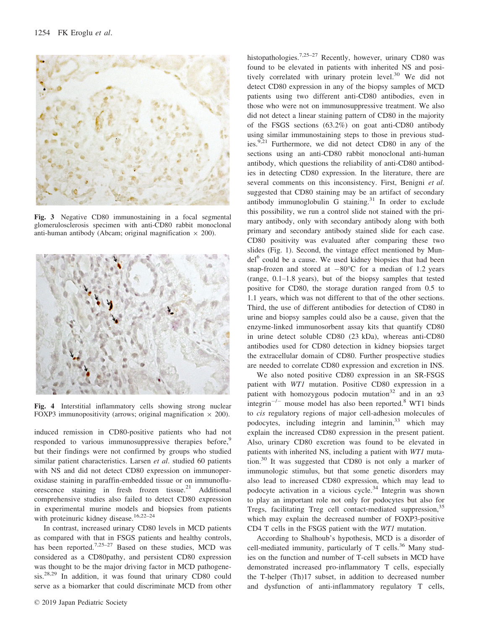

Fig. 3 Negative CD80 immunostaining in a focal segmental glomerulosclerosis specimen with anti-CD80 rabbit monoclonal anti-human antibody (Abcam; original magnification  $\times$  200).



Fig. 4 Interstitial inflammatory cells showing strong nuclear FOXP3 immunopositivity (arrows; original magnification  $\times$  200).

induced remission in CD80-positive patients who had not responded to various immunosuppressive therapies before,<sup>9</sup> but their findings were not confirmed by groups who studied similar patient characteristics. Larsen *et al.* studied 60 patients with NS and did not detect CD80 expression on immunoperoxidase staining in paraffin-embedded tissue or on immunofluorescence staining in fresh frozen tissue.<sup>21</sup> Additional comprehensive studies also failed to detect CD80 expression in experimental murine models and biopsies from patients with proteinuric kidney disease.<sup>16,22-24</sup>

In contrast, increased urinary CD80 levels in MCD patients as compared with that in FSGS patients and healthy controls, has been reported.<sup>7,25–27</sup> Based on these studies, MCD was considered as a CD80pathy, and persistent CD80 expression was thought to be the major driving factor in MCD pathogenesis.28,29 In addition, it was found that urinary CD80 could serve as a biomarker that could discriminate MCD from other

histopathologies.<sup>7,25–27</sup> Recently, however, urinary CD80 was found to be elevated in patients with inherited NS and positively correlated with urinary protein level.<sup>30</sup> We did not detect CD80 expression in any of the biopsy samples of MCD patients using two different anti-CD80 antibodies, even in those who were not on immunosuppressive treatment. We also did not detect a linear staining pattern of CD80 in the majority of the FSGS sections (63.2%) on goat anti-CD80 antibody using similar immunostaining steps to those in previous studies.9,21 Furthermore, we did not detect CD80 in any of the sections using an anti-CD80 rabbit monoclonal anti-human antibody, which questions the reliability of anti-CD80 antibodies in detecting CD80 expression. In the literature, there are several comments on this inconsistency. First, Benigni et al. suggested that CD80 staining may be an artifact of secondary antibody immunoglobulin G staining.<sup>31</sup> In order to exclude this possibility, we run a control slide not stained with the primary antibody, only with secondary antibody along with both primary and secondary antibody stained slide for each case. CD80 positivity was evaluated after comparing these two slides (Fig. 1). Second, the vintage effect mentioned by Mun $del<sup>6</sup>$  could be a cause. We used kidney biopsies that had been snap-frozen and stored at  $-80^{\circ}$ C for a median of 1.2 years (range, 0.1–1.8 years), but of the biopsy samples that tested positive for CD80, the storage duration ranged from 0.5 to 1.1 years, which was not different to that of the other sections. Third, the use of different antibodies for detection of CD80 in urine and biopsy samples could also be a cause, given that the enzyme-linked immunosorbent assay kits that quantify CD80 in urine detect soluble CD80 (23 kDa), whereas anti-CD80 antibodies used for CD80 detection in kidney biopsies target the extracellular domain of CD80. Further prospective studies are needed to correlate CD80 expression and excretion in INS.

We also noted positive CD80 expression in an SR-FSGS patient with WT1 mutation. Positive CD80 expression in a patient with homozygous podocin mutation<sup>32</sup> and in an  $\alpha$ 3 integrin<sup>-/-</sup> mouse model has also been reported.<sup>8</sup> WT1 binds to cis regulatory regions of major cell-adhesion molecules of podocytes, including integrin and laminin, $33$  which may explain the increased CD80 expression in the present patient. Also, urinary CD80 excretion was found to be elevated in patients with inherited NS, including a patient with WT1 mutation.30 It was suggested that CD80 is not only a marker of immunologic stimulus, but that some genetic disorders may also lead to increased CD80 expression, which may lead to podocyte activation in a vicious cycle.<sup>34</sup> Integrin was shown to play an important role not only for podocytes but also for Tregs, facilitating Treg cell contact-mediated suppression,<sup>35</sup> which may explain the decreased number of FOXP3-positive CD4 T cells in the FSGS patient with the WT1 mutation.

According to Shalhoub's hypothesis, MCD is a disorder of cell-mediated immunity, particularly of  $T$  cells.<sup>36</sup> Many studies on the function and number of T-cell subsets in MCD have demonstrated increased pro-inflammatory T cells, especially the T-helper (Th)17 subset, in addition to decreased number and dysfunction of anti-inflammatory regulatory T cells,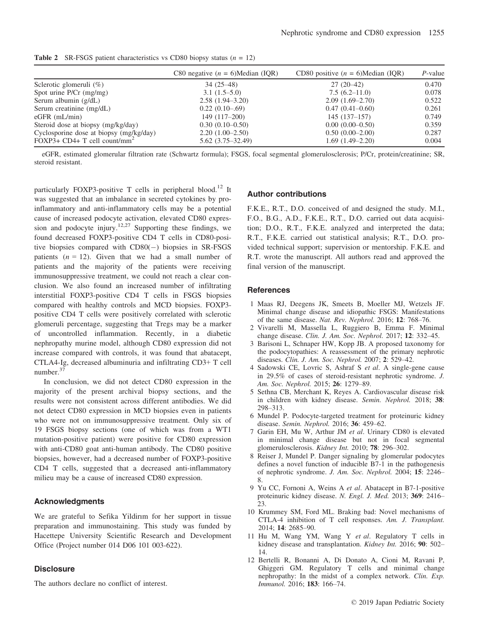**Table 2** SR-FSGS patient characteristics vs CD80 biopsy status  $(n = 12)$ 

|                                          | C80 negative $(n = 6)$ Median (IQR) | CD80 positive $(n = 6)$ Median (IOR) | $P$ -value |
|------------------------------------------|-------------------------------------|--------------------------------------|------------|
| Sclerotic glomeruli $(\%)$               | $34(25-48)$                         | $27(20-42)$                          | 0.470      |
| Spot urine $P/Cr$ (mg/mg)                | $3.1(1.5-5.0)$                      | $7.5(6.2 - 11.0)$                    | 0.078      |
| Serum albumin $(g/dL)$                   | $2.58(1.94 - 3.20)$                 | $2.09(1.69-2.70)$                    | 0.522      |
| Serum creatinine (mg/dL)                 | $0.22(0.10-69)$                     | $0.47(0.41-0.60)$                    | 0.261      |
| $eGFR$ (mL/min)                          | 149 (117–200)                       | $145(137-157)$                       | 0.749      |
| Steroid dose at biopsy (mg/kg/day)       | $0.30(0.10-0.50)$                   | $0.00(0.00-0.50)$                    | 0.359      |
| Cyclosporine dose at biopsy (mg/kg/day)  | $2.20(1.00-2.50)$                   | $0.50(0.00-2.00)$                    | 0.287      |
| FOXP3+ CD4+ T cell count/mm <sup>2</sup> | $5.62(3.75-32.49)$                  | $1.69(1.49-2.20)$                    | 0.004      |

eGFR, estimated glomerular filtration rate (Schwartz formula); FSGS, focal segmental glomerulosclerosis; P/Cr, protein/creatinine; SR, steroid resistant.

particularly FOXP3-positive T cells in peripheral blood.<sup>12</sup> It was suggested that an imbalance in secreted cytokines by proinflammatory and anti-inflammatory cells may be a potential cause of increased podocyte activation, elevated CD80 expression and podocyte injury.<sup>12,27</sup> Supporting these findings, we found decreased FOXP3-positive CD4 T cells in CD80-positive biopsies compared with  $CD80(-)$  biopsies in SR-FSGS patients  $(n = 12)$ . Given that we had a small number of patients and the majority of the patients were receiving immunosuppressive treatment, we could not reach a clear conclusion. We also found an increased number of infiltrating interstitial FOXP3-positive CD4 T cells in FSGS biopsies compared with healthy controls and MCD biopsies. FOXP3 positive CD4 T cells were positively correlated with sclerotic glomeruli percentage, suggesting that Tregs may be a marker of uncontrolled inflammation. Recently, in a diabetic nephropathy murine model, although CD80 expression did not increase compared with controls, it was found that abatacept, CTLA4-Ig, decreased albuminuria and infiltrating CD3+ T cell number.<sup>37</sup>

In conclusion, we did not detect CD80 expression in the majority of the present archival biopsy sections, and the results were not consistent across different antibodies. We did not detect CD80 expression in MCD biopsies even in patients who were not on immunosuppressive treatment. Only six of 19 FSGS biopsy sections (one of which was from a WT1 mutation-positive patient) were positive for CD80 expression with anti-CD80 goat anti-human antibody. The CD80 positive biopsies, however, had a decreased number of FOXP3-positive CD4 T cells, suggested that a decreased anti-inflammatory milieu may be a cause of increased CD80 expression.

#### Acknowledgments

We are grateful to Sefika Yildirım for her support in tissue preparation and immunostaining. This study was funded by Hacettepe University Scientific Research and Development Office (Project number 014 D06 101 003-622).

# **Disclosure**

The authors declare no conflict of interest.

#### Author contributions

F.K.E., R.T., D.O. conceived of and designed the study. M.I., F.O., B.G., A.D., F.K.E., R.T., D.O. carried out data acquisition; D.O., R.T., F.K.E. analyzed and interpreted the data; R.T., F.K.E. carried out statistical analysis; R.T., D.O. provided technical support; supervision or mentorship. F.K.E. and R.T. wrote the manuscript. All authors read and approved the final version of the manuscript.

#### **References**

- 1 Maas RJ, Deegens JK, Smeets B, Moeller MJ, Wetzels JF. Minimal change disease and idiopathic FSGS: Manifestations of the same disease. Nat. Rev. Nephrol. 2016; 12: 768–76.
- 2 Vivarelli M, Massella L, Ruggiero B, Emma F. Minimal change disease. Clin. J. Am. Soc. Nephrol. 2017; 12: 332–45.
- 3 Barisoni L, Schnaper HW, Kopp JB. A proposed taxonomy for the podocytopathies: A reassessment of the primary nephrotic diseases. Clin. J. Am. Soc. Nephrol. 2007; 2: 529–42.
- 4 Sadowski CE, Lovric S, Ashraf S et al. A single-gene cause in 29.5% of cases of steroid-resistant nephrotic syndrome. J. Am. Soc. Nephrol. 2015; 26: 1279–89.
- 5 Sethna CB, Merchant K, Reyes A. Cardiovascular disease risk in children with kidney disease. Semin. Nephrol. 2018; 38: 298–313.
- 6 Mundel P. Podocyte-targeted treatment for proteinuric kidney disease. Semin. Nephrol. 2016; 36: 459–62.
- 7 Garin EH, Mu W, Arthur JM et al. Urinary CD80 is elevated in minimal change disease but not in focal segmental glomerulosclerosis. Kidney Int. 2010; 78: 296–302.
- 8 Reiser J, Mundel P. Danger signaling by glomerular podocytes defines a novel function of inducible B7-1 in the pathogenesis of nephrotic syndrome. J. Am. Soc. Nephrol. 2004; 15: 2246– 8.
- 9 Yu CC, Fornoni A, Weins A et al. Abatacept in B7-1-positive proteinuric kidney disease. N. Engl. J. Med. 2013; 369: 2416– 23.
- 10 Krummey SM, Ford ML. Braking bad: Novel mechanisms of CTLA-4 inhibition of T cell responses. Am. J. Transplant. 2014; 14: 2685–90.
- 11 Hu M, Wang YM, Wang Y et al. Regulatory T cells in kidney disease and transplantation. Kidney Int. 2016; 90: 502– 14.
- 12 Bertelli R, Bonanni A, Di Donato A, Cioni M, Ravani P, Ghiggeri GM. Regulatory T cells and minimal change nephropathy: In the midst of a complex network. Clin. Exp. Immunol. 2016; 183: 166–74.